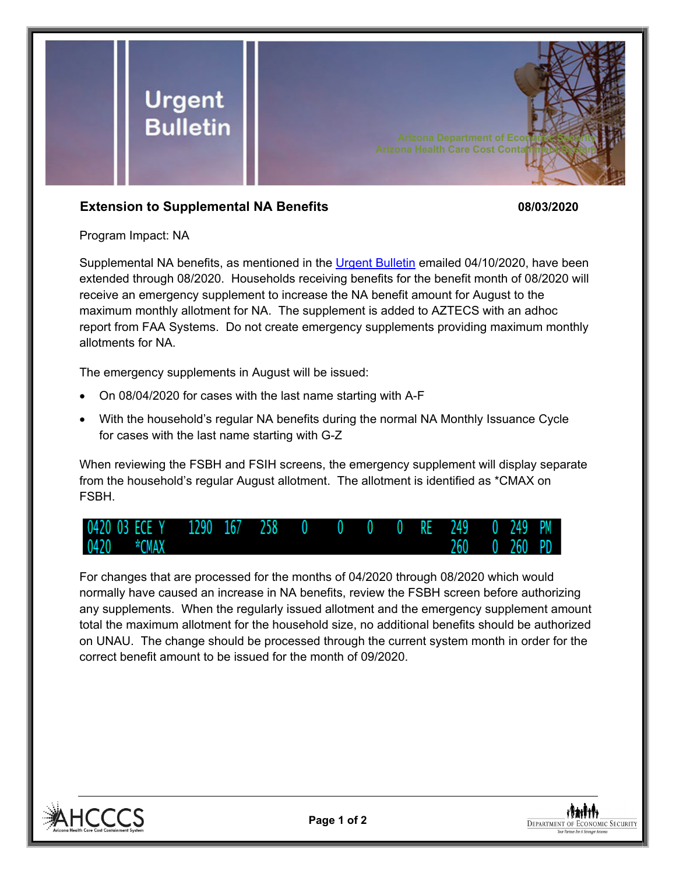

## **Extension to Supplemental NA Benefits 08/03/2020**

Program Impact: NA

Supplemental NA benefits, as mentioned in the [Urgent Bulletin](https://dbmefaapolicy.azdes.gov/FAA5/baggage/Urgent%20Bulletin%20(04-10-2020)%20-%20Supplemental%20Nutrition%20Assistance%20Benefits%20for%20Participants.pdf) emailed 04/10/2020, have been extended through 08/2020. Households receiving benefits for the benefit month of 08/2020 will receive an emergency supplement to increase the NA benefit amount for August to the maximum monthly allotment for NA. The supplement is added to AZTECS with an adhoc report from FAA Systems. Do not create emergency supplements providing maximum monthly allotments for NA.

The emergency supplements in August will be issued:

- On 08/04/2020 for cases with the last name starting with A-F
- With the household's regular NA benefits during the normal NA Monthly Issuance Cycle for cases with the last name starting with G-Z

When reviewing the FSBH and FSIH screens, the emergency supplement will display separate from the household's regular August allotment. The allotment is identified as \*CMAX on FSBH.



For changes that are processed for the months of 04/2020 through 08/2020 which would normally have caused an increase in NA benefits, review the FSBH screen before authorizing any supplements. When the regularly issued allotment and the emergency supplement amount total the maximum allotment for the household size, no additional benefits should be authorized on UNAU. The change should be processed through the current system month in order for the correct benefit amount to be issued for the month of 09/2020.